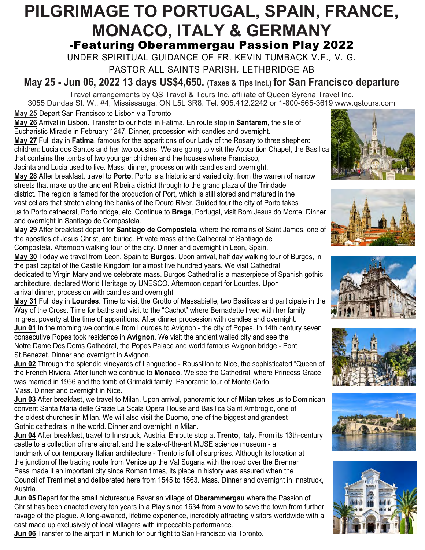# **PILGRIMAGE TO PORTUGAL, SPAIN, FRANCE, MONACO, ITALY & GERMANY** -Featuring Oberammergau Passion Play 2022

UNDER SPIRITUAL GUIDANCE OF FR. KEVIN TUMBACK V.F., V. G.

PASTOR ALL SAINTS PARISH, LETHBRIDGE AB

**May 25 - Jun 06, 2022 13 days US\$4,650. (Taxes & Tips Incl.) for San Francisco departure**

Travel arrangements by QS Travel & Tours Inc. affiliate of Queen Syrena Travel Inc.

3055 Dundas St. W., #4, Mississauga, ON L5L 3R8. Tel. 905.412.2242 or 1-800-565-3619 www.qstours.com **May 25** Depart San Francisco to Lisbon via Toronto

**May 26** Arrival in Lisbon. Transfer to our hotel in Fatima. En route stop in **Santarem**, the site of Eucharistic Miracle in February 1247. Dinner, procession with candles and overnight.

**May 27** Full day in **Fatima**, famous for the apparitions of our Lady of the Rosary to three shepherd children: Lucia dos Santos and her two cousins. We are going to visit the Apparition Chapel, the Basilica that contains the tombs of two younger children and the houses where Francisco,

Jacinta and Lucia used to live. Mass, dinner, procession with candles and overnight. **May 28** After breakfast, travel to **Porto**. Porto is a historic and varied city, from the warren of narrow streets that make up the ancient Ribeira district through to the grand plaza of the Trindade district. The region is famed for the production of Port, which is still stored and matured in the vast cellars that stretch along the banks of the Douro River. Guided tour the city of Porto takes us to Porto cathedral, Porto bridge, etc. Continue to **Braga**, Portugal, visit Bom Jesus do Monte. Dinner and overnight in Santiago de Compastela.

**May 29** After breakfast depart for **Santiago de Compostela**, where the remains of Saint James, one of the apostles of Jesus Christ, are buried. Private mass at the Cathedral of Santiago de Compostela. Afternoon walking tour of the city. Dinner and overnight in Leon, Spain.

**May 30** Today we travel from Leon, Spain to **Burgos**. Upon arrival, half day walking tour of Burgos, in the past capital of the Castile Kingdom for almost five hundred years. We visit Cathedral dedicated to Virgin Mary and we celebrate mass. Burgos Cathedral is a masterpiece of Spanish gothic architecture, declared World Heritage by UNESCO. Afternoon depart for Lourdes. Upon arrival dinner, procession with candles and overnight

**May 31** Full day in **Lourdes**. Time to visit the Grotto of Massabielle, two Basilicas and participate in the Way of the Cross. Time for baths and visit to the "Cachot" where Bernadette lived with her family in great poverty at the time of apparitions. After dinner procession with candles and overnight. **Jun 01** In the morning we continue from Lourdes to Avignon - the city of Popes. In 14th century seven consecutive Popes took residence in **Avignon**. We visit the ancient walled city and see the Notre Dame Des Doms Cathedral, the Popes Palace and world famous Avignon bridge - Pont St.Benezet. Dinner and overnight in Avignon.



**Jun 03** After breakfast, we travel to Milan. Upon arrival, panoramic tour of **Milan** takes us to Dominican convent Santa Maria delle Grazie La Scala Opera House and Basilica Saint Ambrogio, one of the oldest churches in Milan. We will also visit the Duomo, one of the biggest and grandest Gothic cathedrals in the world. Dinner and overnight in Milan.

**Jun 04** After breakfast, travel to Innstruck, Austria. Enroute stop at **Trento**, Italy. From its 13th-century castle to a collection of rare aircraft and the state-of-the-art MUSE science museum - a landmark of contemporary Italian architecture - Trento is full of surprises. Although its location at the junction of the trading route from Venice up the Val Sugana with the road over the Brenner Pass made it an important city since Roman times, its place in history was assured when the Council of Trent met and deliberated here from 1545 to 1563. Mass. Dinner and overnight in Innstruck, Austria.

**Jun 05** Depart for the small picturesque Bavarian village of **Oberammergau** where the Passion of Christ has been enacted every ten years in a Play since 1634 from a vow to save the town from further ravage of the plague. A long-awaited, lifetime experience, incredibly attracting visitors worldwide with a cast made up exclusively of local villagers with impeccable performance.

**Jun 06** Transfer to the airport in Munich for our flight to San Francisco via Toronto.